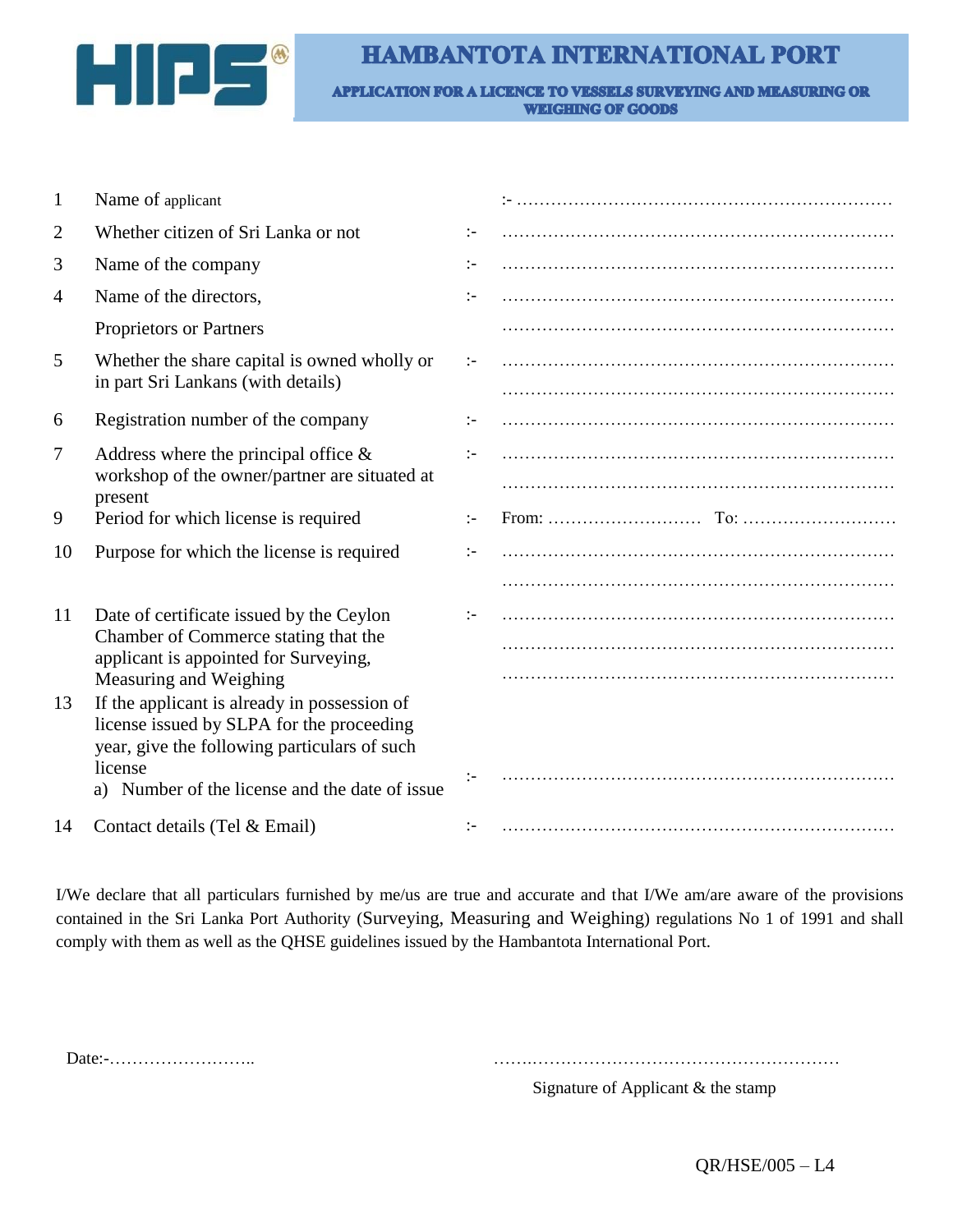

## **HAMBANTOTA INTERNATIONAL PORT**

APPLICATION FOR A LICENCE TO VESSELS SURVEYING AND MEASURING OR **WEIGHING OF GOODS** 

| 1              | Name of applicant                                                                                                                         |               |  |
|----------------|-------------------------------------------------------------------------------------------------------------------------------------------|---------------|--|
| 2              | Whether citizen of Sri Lanka or not                                                                                                       | $\mathbf{I}$  |  |
| 3              | Name of the company                                                                                                                       | $:-$          |  |
| $\overline{4}$ | Name of the directors,                                                                                                                    | $:-$          |  |
|                | Proprietors or Partners                                                                                                                   |               |  |
| 5              | Whether the share capital is owned wholly or<br>in part Sri Lankans (with details)                                                        | $\mathcal{L}$ |  |
|                |                                                                                                                                           |               |  |
| 6              | Registration number of the company                                                                                                        | $\mathbf{I}$  |  |
| 7              | Address where the principal office $\&$<br>workshop of the owner/partner are situated at                                                  | $\mathbf{I}$  |  |
|                | present                                                                                                                                   |               |  |
| 9              | Period for which license is required                                                                                                      | $\mathbf{I}$  |  |
| 10             | Purpose for which the license is required                                                                                                 | $:-$          |  |
|                |                                                                                                                                           |               |  |
| 11             | Date of certificate issued by the Ceylon                                                                                                  |               |  |
|                | Chamber of Commerce stating that the<br>applicant is appointed for Surveying,                                                             |               |  |
|                | Measuring and Weighing                                                                                                                    |               |  |
| 13             | If the applicant is already in possession of<br>license issued by SLPA for the proceeding<br>year, give the following particulars of such |               |  |
|                | license<br>a) Number of the license and the date of issue                                                                                 |               |  |
| 14             | Contact details (Tel & Email)                                                                                                             | :-            |  |

I/We declare that all particulars furnished by me/us are true and accurate and that I/We am/are aware of the provisions contained in the Sri Lanka Port Authority (Surveying, Measuring and Weighing) regulations No 1 of 1991 and shall comply with them as well as the QHSE guidelines issued by the Hambantota International Port.

Date:-…………………….. …….………………………………………………

Signature of Applicant & the stamp

QR/HSE/005 – L4